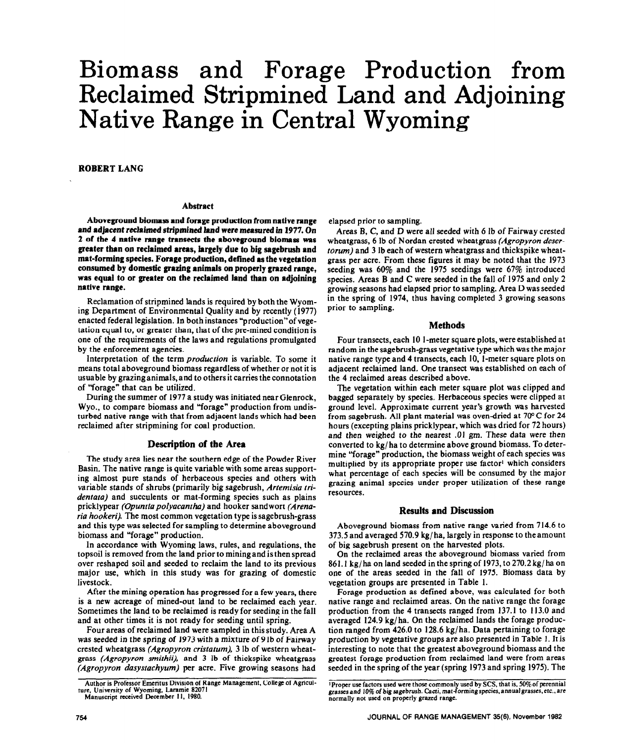# Biomass and Forage Production from Reclaimed Stripmined Land and Adjoining Native Range in Central Wyoming

ROBERT LANG

#### **Abstract**

**Aboveground biomas and forage production from native range and adjacent reclaimed stripmined land were measured in** 1977. **On**  2 **of the** 4 native range **transects the aboveground biomass was greater than on reclaimed areas, largely due to big sagebrush and**  mat-forming species. Forage production, defined as the vegetation **consumed by domestic grazing animals on properly grazed range, was equal to or greater on the reclaimed land than on adjoining native range.** 

Reclamation of stripmined lands is required by both the Wyoming Department of Environmental Quality and by recently (1977) enacted federal legislation. In both instances "production"of vegetation equal to, or greater than, that of the pre-mined condition is one of the requirements of the laws and regulations promulgated by the enforcement agencies.

Interpretation of the term *production* is variable. To some it means total aboveground biomass regardless of whether or not it is usuable by grazinganirnals,and to othersit carries the connotation of "forage" that can be utilized.

During the summer of 1977 a study was initiated near Glenrock, Wyo., to compare biomass and "forage" production from undisturbed native range with that from adjacent lands which had been reclaimed after stripmining for coal production.

## **Description of the Area**

**The** study area lies near the southern edge of the Powder River Basin. The native range is quite variable with some areas supporting almost pure stands of herbaceous species and others with variable stands of shrubs (primarily big sagebrush, *Artemisia tridentata)* and succulents or mat-forming species such as plains pricklypear *(Opuntiapolyacantha)* and hooker sandwort *(Arenaria hookeri).* The most common vegetation type is sagebrush-grass and this type was selected for sampling to determine aboveground biomass and "forage" production.

In accordance with Wyoming laws, rules, and regulations, the topsoil is removed from the land prior to mining and is then spread over reshaped soil and seeded to reclaim the land to its previous major use, which in this study was for grazing of domestic livestock.

After the mining operation has progressed for a few years, there is a new acreage of mined-out land to be reclaimed each year. Sometimes the land to be reclaimed is ready for seeding in the fall and at other times it is not ready for seeding until spring.

Four areas of reclaimed land were sampled in this study. Area A was seeded in the spring of 1973 with a mixture of 9 lb of Fairway crested wheatgrass *(Agropyron cristatum). 3* lb of western wheatgrass *(Agropyron smithii),* and 3 lb of thickspike wheatgrass *(Agropyron dasystachyum)* per acre. Five growing seasons had elapsed prior to sampling.

Areas B, C, and D were all seeded with 6 lb of Fairway crested wheatgrass, 6 lb of Nordan crested wheatgrass *(Agropyron desertorum)* and 3 lb each of western wheatgrass and thickspike wheatgrass per acre. From these figures it may be noted that the 1973 seeding was 60% and the 1975 seedings were 67% introduced species. Areas B and C were seeded in the fall of 1975 and only 2 growing seasons had elapsed prior to sampling. Area D was seeded in the spring of 1974, thus having completed 3 growing seasons prior to sampling.

## **Methods**

Four transects, each 10 l-meter square plots, were established at random in the sagebrush-grass vegetative type which was the major native range type and 4 transects, each 10, l-meter square plots on adjacent reclaimed land. One transect was established on each of the 4 reclaimed areas described above.

The vegetation within each meter square plot was clipped and bagged separately by species. Herbaceous species were clipped at ground level. Approximate current year's growth was harvested from sagebrush. All plant material was oven-dried at 70°C for 24 hours (excepting plains pricklypear, which was dried for 72 hours) and then weighed to the *nearest .01 gm.* These data were then converted to kg/ ha to determine above ground biomass. To determine "forage" production, the biomass weight of each species was multiplied by its appropriate proper use factor' which considers what percentage of each species will be consumed by the major grazing animal species under proper utilization of these range resources.

### **Results and Discussion**

Aboveground biomass from native range varied from 714.6 to 373.5 and averaged 570.9 kg/ ha, largely in response to the amount of big sagebrush present on the harvested plots.

On the reclaimed areas the aboveground biomass varied from 861.1 kg/ha on land seeded in the spring of 1973, to 270.2 kg/ha on one of the areas seeded in the fall of 1975. Biomass data by vegetation groups are presented in Table 1.

Forage production as defined above, was calculated for both native range and reclaimed areas. On the native range the forage production from the 4 transects ranged from 137.1 to 113.0 and averaged 124.9 kg/ ha. On the reclaimed lands the forage production ranged from 426.0 to 128.6 kg/ ha. Data pertaining to forage production by vegetative groups are also presented in Table I. It is interesting to note that the greatest aboveground biomass and the greatest forage production from reclaimed land were from areas seeded in the spring of the year (spring 1973 and spring 1975). The

Author **is Professor Emeritus Division of Range Management, College of Agricultore, University of Wyoming, Laramie 82071 Manuscript received December** I I, **1980.** 

<sup>&</sup>lt;sup>1</sup>Proper use factors used were those commonly used by SCS, that is, 50% of perennial<br>grasses and 10% of big sagebrush. Cacti, mat-forming species, annual grasses, etc., are<br>normally not used on properly grazed range.